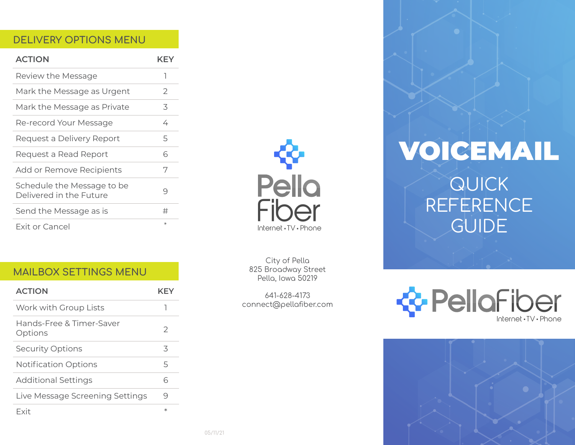# DELIVERY OPTIONS MENU

| <b>ACTION</b>                                         | KFY           |
|-------------------------------------------------------|---------------|
| Review the Message                                    | ٦             |
| Mark the Message as Urgent                            | $\mathcal{P}$ |
| Mark the Message as Private                           | 3             |
| Re-record Your Message                                | 4             |
| Request a Delivery Report                             | 5             |
| Request a Read Report                                 | 6             |
| Add or Remove Recipients                              | 7             |
| Schedule the Message to be<br>Delivered in the Future | 9             |
| Send the Message as is                                | #             |
| <b>Exit or Cancel</b>                                 | $\star$       |

# MAILBOX SETTINGS MENU

| <b>ACTION</b>                       | KEY       |
|-------------------------------------|-----------|
| Work with Group Lists               |           |
| Hands-Free & Timer-Saver<br>Options | 2         |
| <b>Security Options</b>             | 3         |
| Notification Options                | 5         |
| <b>Additional Settings</b>          | 6         |
| Live Message Screening Settings     | 9         |
| Fxit                                | $^{\ast}$ |



City of Pella 825 Broadway Street Pella, Iowa 50219

641-628-4173 connect@pellafiber.com

# VOICEMAIL QUICK REFERENCE GUIDE

PellaFiber Internet · TV · Phone